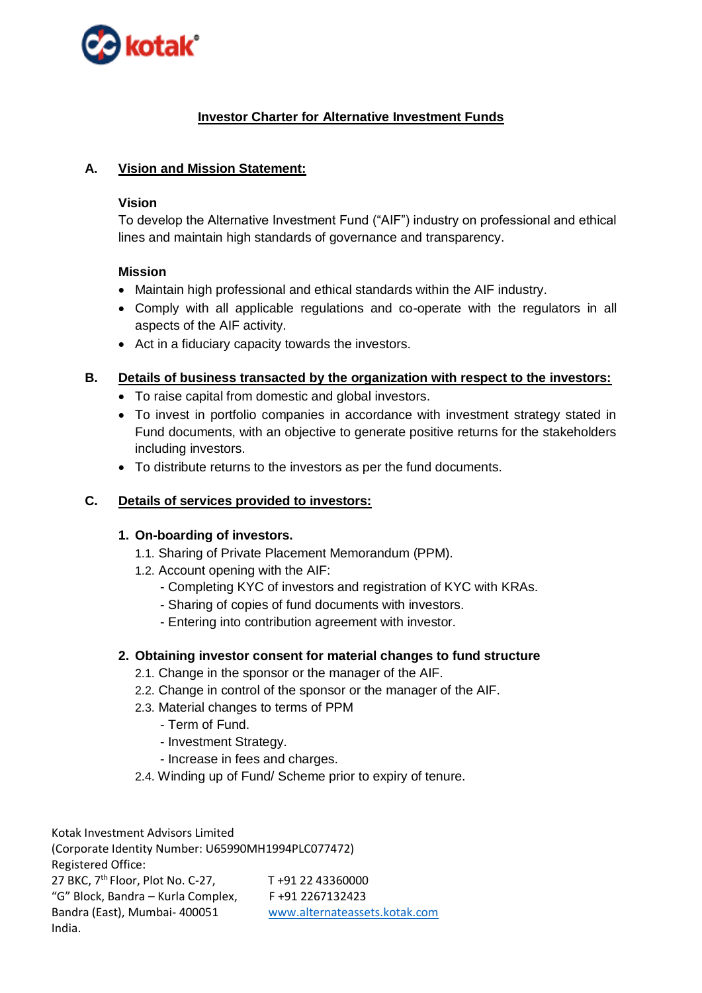

# **Investor Charter for Alternative Investment Funds**

## **A. Vision and Mission Statement:**

#### **Vision**

To develop the Alternative Investment Fund ("AIF") industry on professional and ethical lines and maintain high standards of governance and transparency.

#### **Mission**

- Maintain high professional and ethical standards within the AIF industry.
- Comply with all applicable regulations and co-operate with the regulators in all aspects of the AIF activity.
- Act in a fiduciary capacity towards the investors.

## **B. Details of business transacted by the organization with respect to the investors:**

- To raise capital from domestic and global investors.
- To invest in portfolio companies in accordance with investment strategy stated in Fund documents, with an objective to generate positive returns for the stakeholders including investors.
- To distribute returns to the investors as per the fund documents.

## **C. Details of services provided to investors:**

#### **1. On-boarding of investors.**

- 1.1. Sharing of Private Placement Memorandum (PPM).
- 1.2. Account opening with the AIF:
	- Completing KYC of investors and registration of KYC with KRAs.
	- Sharing of copies of fund documents with investors.
	- Entering into contribution agreement with investor.

#### **2. Obtaining investor consent for material changes to fund structure**

- 2.1. Change in the sponsor or the manager of the AIF.
- 2.2. Change in control of the sponsor or the manager of the AIF.
- 2.3. Material changes to terms of PPM
	- Term of Fund.
	- Investment Strategy.
	- Increase in fees and charges.
- 2.4. Winding up of Fund/ Scheme prior to expiry of tenure.

Kotak Investment Advisors Limited (Corporate Identity Number: U65990MH1994PLC077472) Registered Office: 27 BKC, 7<sup>th</sup> Floor, Plot No. C-27, T +91 22 43360000 "G" Block, Bandra – Kurla Complex,  $F +91 2267132423$ Bandra (East), Mumbai- 400051 [www.alternateassets.kotak.com](http://www.alternateassets.kotak.com/) India.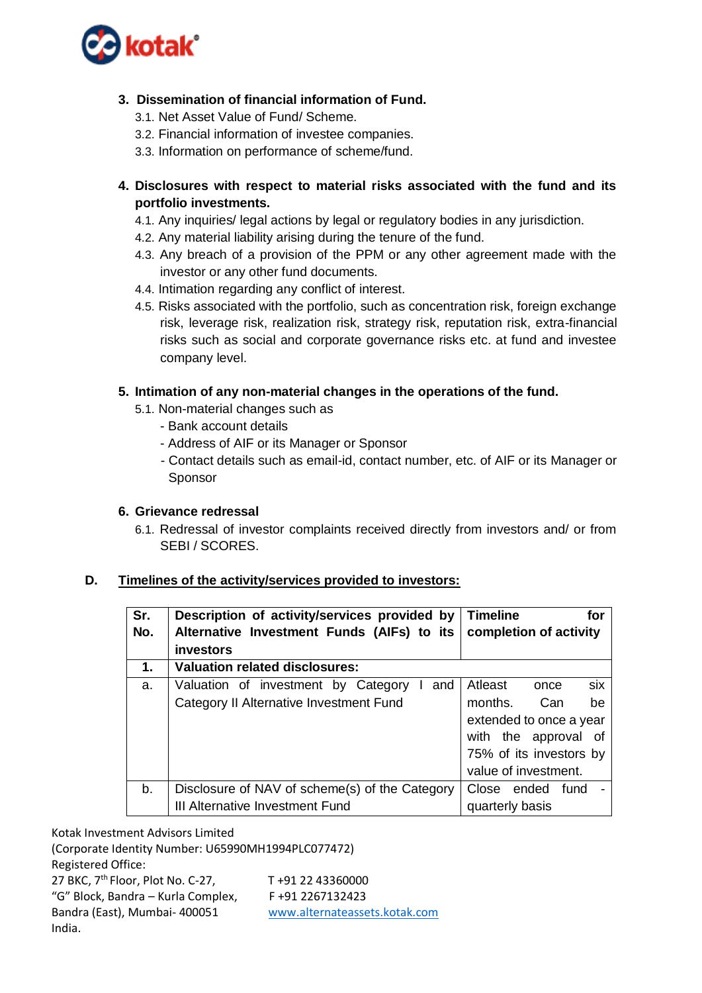

# **3. Dissemination of financial information of Fund.**

- 3.1. Net Asset Value of Fund/ Scheme.
- 3.2. Financial information of investee companies.
- 3.3. Information on performance of scheme/fund.
- **4. Disclosures with respect to material risks associated with the fund and its portfolio investments.**
	- 4.1. Any inquiries/ legal actions by legal or regulatory bodies in any jurisdiction.
	- 4.2. Any material liability arising during the tenure of the fund.
	- 4.3. Any breach of a provision of the PPM or any other agreement made with the investor or any other fund documents.
	- 4.4. Intimation regarding any conflict of interest.
	- 4.5. Risks associated with the portfolio, such as concentration risk, foreign exchange risk, leverage risk, realization risk, strategy risk, reputation risk, extra-financial risks such as social and corporate governance risks etc. at fund and investee company level.

## **5. Intimation of any non-material changes in the operations of the fund.**

- 5.1. Non-material changes such as
	- Bank account details
	- Address of AIF or its Manager or Sponsor
	- Contact details such as email-id, contact number, etc. of AIF or its Manager or **Sponsor**

### **6. Grievance redressal**

6.1. Redressal of investor complaints received directly from investors and/ or from SEBI / SCORES.

#### **D. Timelines of the activity/services provided to investors:**

| Sr.<br>No. | Description of activity/services provided by<br>Alternative Investment Funds (AIFs) to its<br>investors | <b>Timeline</b><br>for<br>completion of activity                                                                                                     |
|------------|---------------------------------------------------------------------------------------------------------|------------------------------------------------------------------------------------------------------------------------------------------------------|
| 1.         | <b>Valuation related disclosures:</b>                                                                   |                                                                                                                                                      |
| a.         | Valuation of investment by Category<br>and<br>Category II Alternative Investment Fund                   | six<br>Atleast<br>once<br>months.<br>Can<br>be<br>extended to once a year<br>with the approval of<br>75% of its investors by<br>value of investment. |
| b.         | Disclosure of NAV of scheme(s) of the Category<br>III Alternative Investment Fund                       | Close ended<br>fund<br>quarterly basis                                                                                                               |

Kotak Investment Advisors Limited

India.

(Corporate Identity Number: U65990MH1994PLC077472) Registered Office: 27 BKC, 7<sup>th</sup> Floor, Plot No. C-27, T +91 22 43360000 "G" Block, Bandra – Kurla Complex,  $F + 91 2267132423$ Bandra (East), Mumbai- 400051 [www.alternateassets.kotak.com](http://www.alternateassets.kotak.com/)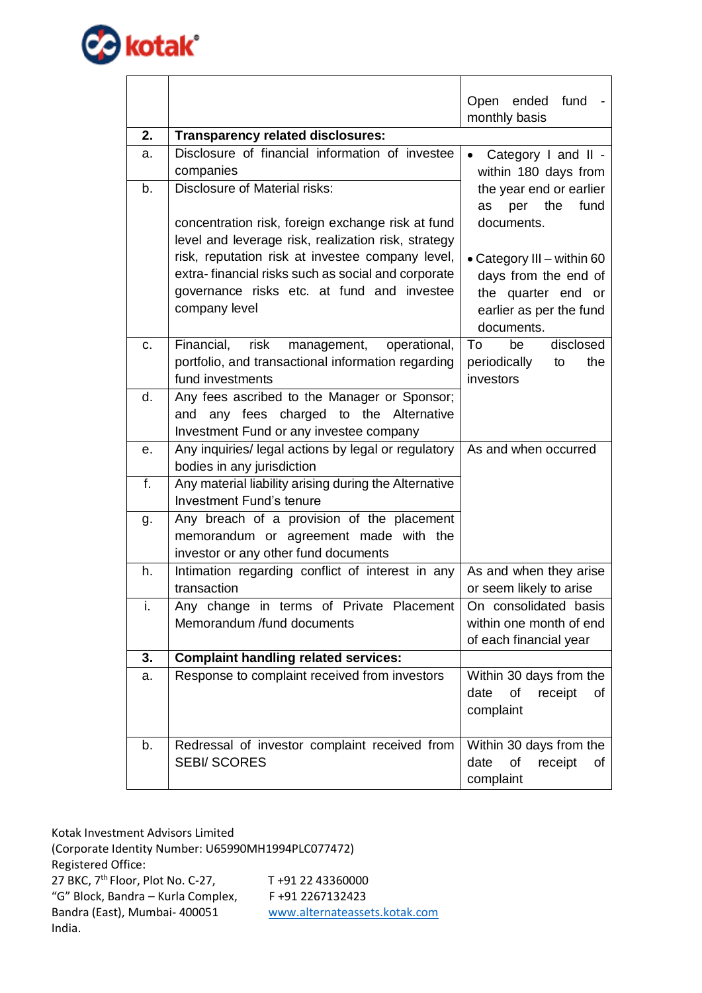

|    |                                                                                                                                                                                                      | fund<br>Open ended<br>monthly basis                                                             |
|----|------------------------------------------------------------------------------------------------------------------------------------------------------------------------------------------------------|-------------------------------------------------------------------------------------------------|
| 2. | <b>Transparency related disclosures:</b>                                                                                                                                                             |                                                                                                 |
| a. | Disclosure of financial information of investee<br>companies                                                                                                                                         | Category I and II -<br>$\bullet$<br>within 180 days from                                        |
| b. | <b>Disclosure of Material risks:</b><br>concentration risk, foreign exchange risk at fund<br>level and leverage risk, realization risk, strategy<br>risk, reputation risk at investee company level, | the year end or earlier<br>the<br>fund<br>per<br>as<br>documents.<br>• Category III - within 60 |
|    | extra-financial risks such as social and corporate<br>governance risks etc. at fund and investee<br>company level                                                                                    | days from the end of<br>the quarter end or<br>earlier as per the fund<br>documents.             |
| C. | risk<br>operational,<br>Financial,<br>management,<br>portfolio, and transactional information regarding<br>fund investments                                                                          | disclosed<br>To<br>be<br>periodically<br>the<br>to<br>investors                                 |
| d. | Any fees ascribed to the Manager or Sponsor;<br>and any fees charged to the Alternative<br>Investment Fund or any investee company                                                                   |                                                                                                 |
| е. | Any inquiries/ legal actions by legal or regulatory<br>bodies in any jurisdiction                                                                                                                    | As and when occurred                                                                            |
| f. | Any material liability arising during the Alternative<br><b>Investment Fund's tenure</b>                                                                                                             |                                                                                                 |
| g. | Any breach of a provision of the placement<br>memorandum or agreement made with the<br>investor or any other fund documents                                                                          |                                                                                                 |
| h. | Intimation regarding conflict of interest in any<br>transaction                                                                                                                                      | As and when they arise<br>or seem likely to arise                                               |
| i. | Any change in terms of Private Placement<br>Memorandum /fund documents                                                                                                                               | On consolidated basis<br>within one month of end<br>of each financial year                      |
| 3. | <b>Complaint handling related services:</b>                                                                                                                                                          |                                                                                                 |
| a. | Response to complaint received from investors                                                                                                                                                        | Within 30 days from the<br>of<br>date<br>receipt<br>of<br>complaint                             |
| b. | Redressal of investor complaint received from<br><b>SEBI/SCORES</b>                                                                                                                                  | Within 30 days from the<br>of<br>receipt<br>date<br>of<br>complaint                             |

Kotak Investment Advisors Limited (Corporate Identity Number: U65990MH1994PLC077472) Registered Office: 27 BKC,  $7^{th}$  Floor, Plot No. C-27, T +91 22 43360000 "G" Block, Bandra – Kurla Complex, F +91 2267132423 Bandra (East), Mumbai- 400051 [www.alternateassets.kotak.com](http://www.alternateassets.kotak.com/) India.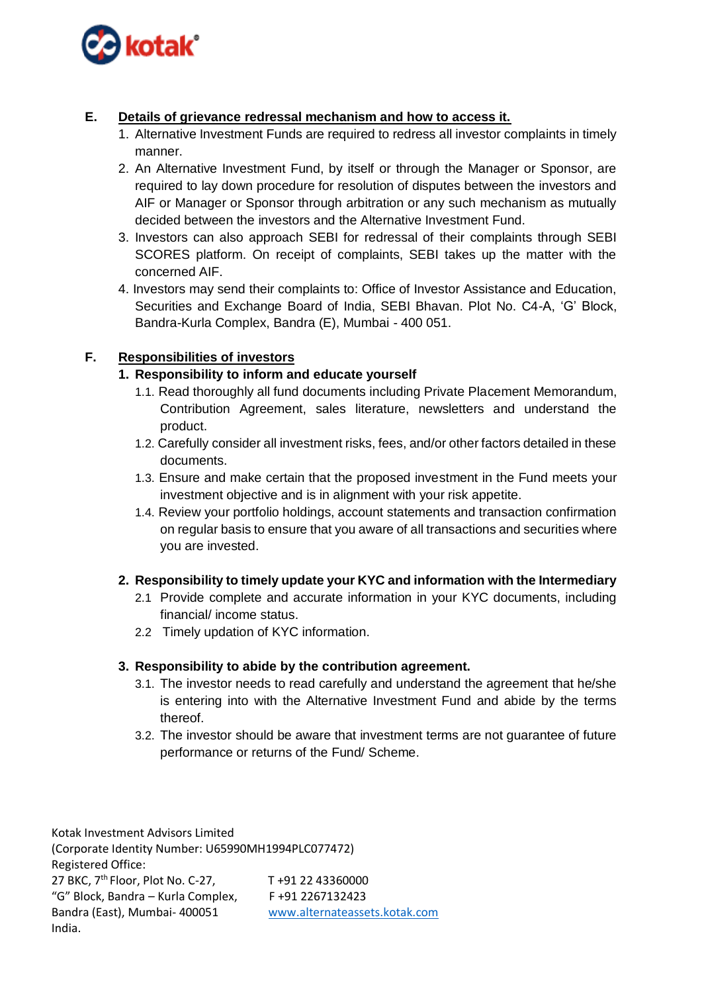

# **E. Details of grievance redressal mechanism and how to access it.**

- 1. Alternative Investment Funds are required to redress all investor complaints in timely manner.
- 2. An Alternative Investment Fund, by itself or through the Manager or Sponsor, are required to lay down procedure for resolution of disputes between the investors and AIF or Manager or Sponsor through arbitration or any such mechanism as mutually decided between the investors and the Alternative Investment Fund.
- 3. Investors can also approach SEBI for redressal of their complaints through SEBI SCORES platform. On receipt of complaints, SEBI takes up the matter with the concerned AIF.
- 4. Investors may send their complaints to: Office of Investor Assistance and Education, Securities and Exchange Board of India, SEBI Bhavan. Plot No. C4-A, 'G' Block, Bandra-Kurla Complex, Bandra (E), Mumbai - 400 051.

# **F. Responsibilities of investors**

# **1. Responsibility to inform and educate yourself**

- 1.1. Read thoroughly all fund documents including Private Placement Memorandum, Contribution Agreement, sales literature, newsletters and understand the product.
- 1.2. Carefully consider all investment risks, fees, and/or other factors detailed in these documents.
- 1.3. Ensure and make certain that the proposed investment in the Fund meets your investment objective and is in alignment with your risk appetite.
- 1.4. Review your portfolio holdings, account statements and transaction confirmation on regular basis to ensure that you aware of all transactions and securities where you are invested.

# **2. Responsibility to timely update your KYC and information with the Intermediary**

- 2.1 Provide complete and accurate information in your KYC documents, including financial/ income status.
- 2.2 Timely updation of KYC information.

# **3. Responsibility to abide by the contribution agreement.**

- 3.1. The investor needs to read carefully and understand the agreement that he/she is entering into with the Alternative Investment Fund and abide by the terms thereof.
- 3.2. The investor should be aware that investment terms are not guarantee of future performance or returns of the Fund/ Scheme.

Kotak Investment Advisors Limited (Corporate Identity Number: U65990MH1994PLC077472) Registered Office: 27 BKC, 7<sup>th</sup> Floor, Plot No. C-27, T +91 22 43360000 "G" Block, Bandra – Kurla Complex,  $F + 91 2267132423$ Bandra (East), Mumbai- 400051 [www.alternateassets.kotak.com](http://www.alternateassets.kotak.com/) India.